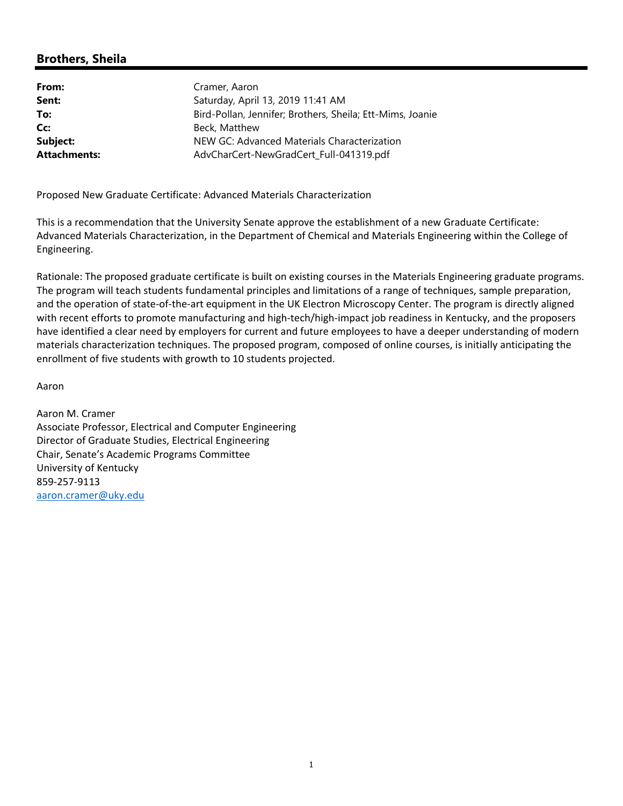# **Brothers, Sheila**

| From:               | Cramer, Aaron                                             |
|---------------------|-----------------------------------------------------------|
| Sent:               | Saturday, April 13, 2019 11:41 AM                         |
| To:                 | Bird-Pollan, Jennifer; Brothers, Sheila; Ett-Mims, Joanie |
| Cc:                 | Beck, Matthew                                             |
| Subject:            | NEW GC: Advanced Materials Characterization               |
| <b>Attachments:</b> | AdvCharCert-NewGradCert Full-041319.pdf                   |

Proposed New Graduate Certificate: Advanced Materials Characterization

This is a recommendation that the University Senate approve the establishment of a new Graduate Certificate: Advanced Materials Characterization, in the Department of Chemical and Materials Engineering within the College of Engineering.

Rationale: The proposed graduate certificate is built on existing courses in the Materials Engineering graduate programs. The program will teach students fundamental principles and limitations of a range of techniques, sample preparation, and the operation of state-of-the-art equipment in the UK Electron Microscopy Center. The program is directly aligned with recent efforts to promote manufacturing and high-tech/high-impact job readiness in Kentucky, and the proposers have identified a clear need by employers for current and future employees to have a deeper understanding of modern materials characterization techniques. The proposed program, composed of online courses, is initially anticipating the enrollment of five students with growth to 10 students projected.

Aaron

Aaron M. Cramer Associate Professor, Electrical and Computer Engineering Director of Graduate Studies, Electrical Engineering Chair, Senate's Academic Programs Committee University of Kentucky 859‐257‐9113 aaron.cramer@uky.edu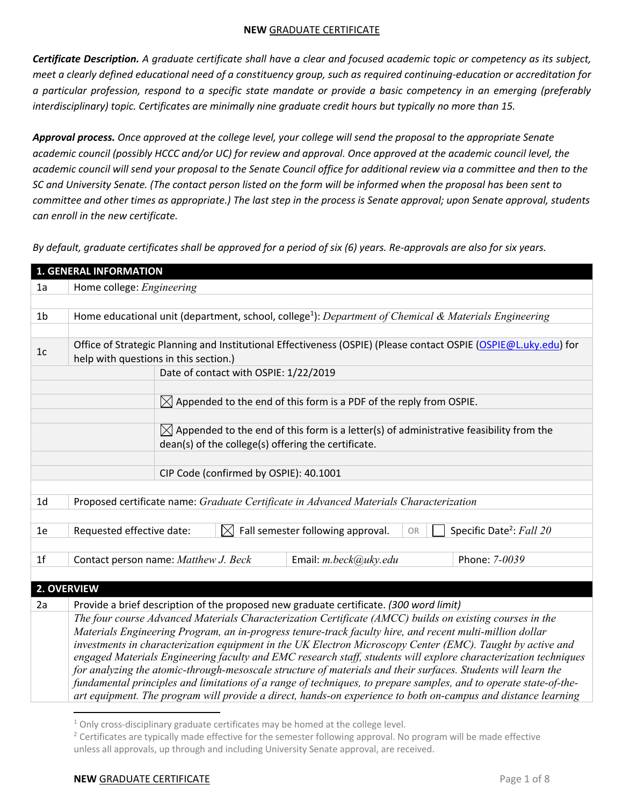*Certificate Description. A graduate certificate shall have a clear and focused academic topic or competency as its subject, meet a clearly defined educational need of a constituency group, such as required continuing-education or accreditation for a particular profession, respond to a specific state mandate or provide a basic competency in an emerging (preferably interdisciplinary) topic. Certificates are minimally nine graduate credit hours but typically no more than 15.* 

*Approval process. Once approved at the college level, your college will send the proposal to the appropriate Senate*  academic council (possibly HCCC and/or UC) for review and approval. Once approved at the academic council level, the *academic council will send your proposal to the Senate Council office for additional review via a committee and then to the SC and University Senate. (The contact person listed on the form will be informed when the proposal has been sent to committee and other times as appropriate.) The last step in the process is Senate approval; upon Senate approval, students can enroll in the new certificate.*

*By default, graduate certificates shall be approved for a period of six (6) years. Re-approvals are also for six years.*

| <b>1. GENERAL INFORMATION</b> |                                                                                                                                                                                                                                  |  |  |  |  |  |
|-------------------------------|----------------------------------------------------------------------------------------------------------------------------------------------------------------------------------------------------------------------------------|--|--|--|--|--|
| 1a                            | Home college: Engineering                                                                                                                                                                                                        |  |  |  |  |  |
|                               |                                                                                                                                                                                                                                  |  |  |  |  |  |
| 1 <sub>b</sub>                | Home educational unit (department, school, college <sup>1</sup> ): Department of Chemical & Materials Engineering                                                                                                                |  |  |  |  |  |
|                               |                                                                                                                                                                                                                                  |  |  |  |  |  |
| 1c                            | Office of Strategic Planning and Institutional Effectiveness (OSPIE) (Please contact OSPIE (OSPIE@L.uky.edu) for<br>help with questions in this section.)                                                                        |  |  |  |  |  |
|                               | Date of contact with OSPIE: 1/22/2019                                                                                                                                                                                            |  |  |  |  |  |
|                               |                                                                                                                                                                                                                                  |  |  |  |  |  |
|                               | $\boxtimes$ Appended to the end of this form is a PDF of the reply from OSPIE.                                                                                                                                                   |  |  |  |  |  |
|                               |                                                                                                                                                                                                                                  |  |  |  |  |  |
|                               | $\boxtimes$ Appended to the end of this form is a letter(s) of administrative feasibility from the                                                                                                                               |  |  |  |  |  |
|                               | dean(s) of the college(s) offering the certificate.                                                                                                                                                                              |  |  |  |  |  |
|                               |                                                                                                                                                                                                                                  |  |  |  |  |  |
|                               | CIP Code (confirmed by OSPIE): 40.1001                                                                                                                                                                                           |  |  |  |  |  |
| 1 <sub>d</sub>                | Proposed certificate name: Graduate Certificate in Advanced Materials Characterization                                                                                                                                           |  |  |  |  |  |
|                               |                                                                                                                                                                                                                                  |  |  |  |  |  |
| 1e                            | Specific Date <sup>2</sup> : Fall 20<br>Fall semester following approval.<br>Requested effective date:<br>$\boxtimes$<br><b>OR</b>                                                                                               |  |  |  |  |  |
|                               |                                                                                                                                                                                                                                  |  |  |  |  |  |
| 1 <sup>f</sup>                | Contact person name: Matthew J. Beck<br>Email: $m. beck@uky.edu$<br>Phone: 7-0039                                                                                                                                                |  |  |  |  |  |
|                               |                                                                                                                                                                                                                                  |  |  |  |  |  |
| 2. OVERVIEW                   |                                                                                                                                                                                                                                  |  |  |  |  |  |
| 2a                            | Provide a brief description of the proposed new graduate certificate. (300 word limit)                                                                                                                                           |  |  |  |  |  |
|                               | The four course Advanced Materials Characterization Certificate (AMCC) builds on existing courses in the                                                                                                                         |  |  |  |  |  |
|                               | Materials Engineering Program, an in-progress tenure-track faculty hire, and recent multi-million dollar                                                                                                                         |  |  |  |  |  |
|                               | investments in characterization equipment in the UK Electron Microscopy Center (EMC). Taught by active and                                                                                                                       |  |  |  |  |  |
|                               | engaged Materials Engineering faculty and EMC research staff, students will explore characterization techniques<br>for analyzing the atomic-through-mesoscale structure of materials and their surfaces. Students will learn the |  |  |  |  |  |
|                               | fundamental principles and limitations of a range of techniques, to prepare samples, and to operate state-of-the-                                                                                                                |  |  |  |  |  |
|                               | art equipment. The program will provide a direct, hands-on experience to both on-campus and distance learning                                                                                                                    |  |  |  |  |  |
|                               |                                                                                                                                                                                                                                  |  |  |  |  |  |

 $1$  Only cross-disciplinary graduate certificates may be homed at the college level.

<sup>&</sup>lt;sup>2</sup> Certificates are typically made effective for the semester following approval. No program will be made effective unless all approvals, up through and including University Senate approval, are received.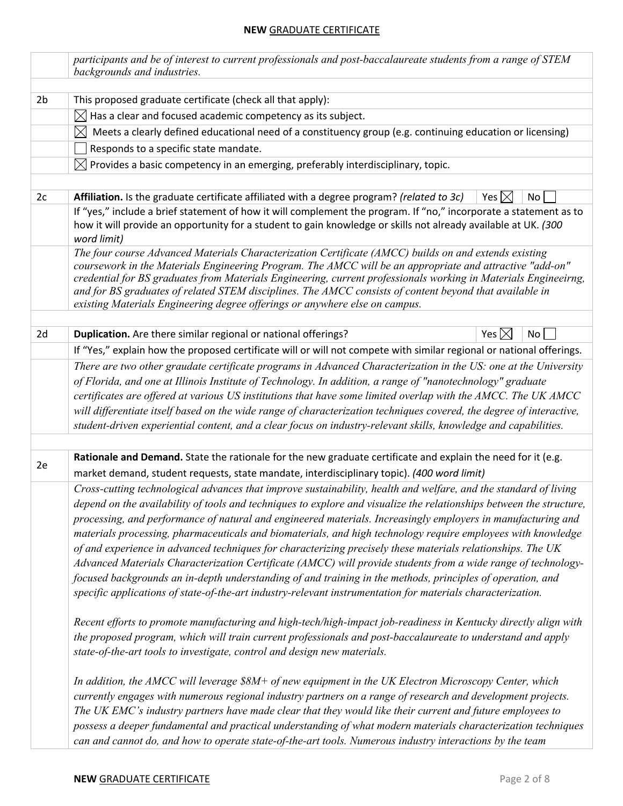|                | participants and be of interest to current professionals and post-baccalaureate students from a range of STEM<br>backgrounds and industries.                                                                                                                                                                                                                                                                                                                                                                                   |                 |                 |  |  |
|----------------|--------------------------------------------------------------------------------------------------------------------------------------------------------------------------------------------------------------------------------------------------------------------------------------------------------------------------------------------------------------------------------------------------------------------------------------------------------------------------------------------------------------------------------|-----------------|-----------------|--|--|
|                |                                                                                                                                                                                                                                                                                                                                                                                                                                                                                                                                |                 |                 |  |  |
| 2 <sub>b</sub> | This proposed graduate certificate (check all that apply):                                                                                                                                                                                                                                                                                                                                                                                                                                                                     |                 |                 |  |  |
|                | $\boxtimes$ Has a clear and focused academic competency as its subject.                                                                                                                                                                                                                                                                                                                                                                                                                                                        |                 |                 |  |  |
|                | Meets a clearly defined educational need of a constituency group (e.g. continuing education or licensing)<br>$\bowtie$                                                                                                                                                                                                                                                                                                                                                                                                         |                 |                 |  |  |
|                | Responds to a specific state mandate.                                                                                                                                                                                                                                                                                                                                                                                                                                                                                          |                 |                 |  |  |
|                | $\boxtimes$ Provides a basic competency in an emerging, preferably interdisciplinary, topic.                                                                                                                                                                                                                                                                                                                                                                                                                                   |                 |                 |  |  |
|                |                                                                                                                                                                                                                                                                                                                                                                                                                                                                                                                                |                 |                 |  |  |
| 2c             | Affiliation. Is the graduate certificate affiliated with a degree program? (related to 3c)                                                                                                                                                                                                                                                                                                                                                                                                                                     | Yes $\boxtimes$ | No              |  |  |
|                | If "yes," include a brief statement of how it will complement the program. If "no," incorporate a statement as to<br>how it will provide an opportunity for a student to gain knowledge or skills not already available at UK. (300<br>word limit)                                                                                                                                                                                                                                                                             |                 |                 |  |  |
|                | The four course Advanced Materials Characterization Certificate (AMCC) builds on and extends existing<br>coursework in the Materials Engineering Program. The AMCC will be an appropriate and attractive "add-on"<br>credential for BS graduates from Materials Engineering, current professionals working in Materials Engineeirng,<br>and for BS graduates of related STEM disciplines. The AMCC consists of content beyond that available in<br>existing Materials Engineering degree offerings or anywhere else on campus. |                 |                 |  |  |
|                |                                                                                                                                                                                                                                                                                                                                                                                                                                                                                                                                |                 |                 |  |  |
| 2d             | Duplication. Are there similar regional or national offerings?                                                                                                                                                                                                                                                                                                                                                                                                                                                                 | Yes $\boxtimes$ | No <sub>1</sub> |  |  |
|                | If "Yes," explain how the proposed certificate will or will not compete with similar regional or national offerings.                                                                                                                                                                                                                                                                                                                                                                                                           |                 |                 |  |  |
|                | There are two other graudate certificate programs in Advanced Characterization in the US: one at the University                                                                                                                                                                                                                                                                                                                                                                                                                |                 |                 |  |  |
|                | of Florida, and one at Illinois Institute of Technology. In addition, a range of "nanotechnology" graduate                                                                                                                                                                                                                                                                                                                                                                                                                     |                 |                 |  |  |
|                | certificates are offered at various US institutions that have some limited overlap with the AMCC. The UK AMCC                                                                                                                                                                                                                                                                                                                                                                                                                  |                 |                 |  |  |
|                | will differentiate itself based on the wide range of characterization techniques covered, the degree of interactive,                                                                                                                                                                                                                                                                                                                                                                                                           |                 |                 |  |  |
|                | student-driven experiential content, and a clear focus on industry-relevant skills, knowledge and capabilities.                                                                                                                                                                                                                                                                                                                                                                                                                |                 |                 |  |  |
|                |                                                                                                                                                                                                                                                                                                                                                                                                                                                                                                                                |                 |                 |  |  |
| 2e             | Rationale and Demand. State the rationale for the new graduate certificate and explain the need for it (e.g.<br>market demand, student requests, state mandate, interdisciplinary topic). (400 word limit)                                                                                                                                                                                                                                                                                                                     |                 |                 |  |  |
|                |                                                                                                                                                                                                                                                                                                                                                                                                                                                                                                                                |                 |                 |  |  |
|                | Cross-cutting technological advances that improve sustainability, health and welfare, and the standard of living<br>depend on the availability of tools and techniques to explore and visualize the relationships between the structure,                                                                                                                                                                                                                                                                                       |                 |                 |  |  |
|                | processing, and performance of natural and engineered materials. Increasingly employers in manufacturing and                                                                                                                                                                                                                                                                                                                                                                                                                   |                 |                 |  |  |
|                | materials processing, pharmaceuticals and biomaterials, and high technology require employees with knowledge                                                                                                                                                                                                                                                                                                                                                                                                                   |                 |                 |  |  |
|                | of and experience in advanced techniques for characterizing precisely these materials relationships. The UK                                                                                                                                                                                                                                                                                                                                                                                                                    |                 |                 |  |  |
|                | Advanced Materials Characterization Certificate (AMCC) will provide students from a wide range of technology-                                                                                                                                                                                                                                                                                                                                                                                                                  |                 |                 |  |  |
|                | focused backgrounds an in-depth understanding of and training in the methods, principles of operation, and                                                                                                                                                                                                                                                                                                                                                                                                                     |                 |                 |  |  |
|                | specific applications of state-of-the-art industry-relevant instrumentation for materials characterization.                                                                                                                                                                                                                                                                                                                                                                                                                    |                 |                 |  |  |
|                |                                                                                                                                                                                                                                                                                                                                                                                                                                                                                                                                |                 |                 |  |  |
|                | Recent efforts to promote manufacturing and high-tech/high-impact job-readiness in Kentucky directly align with                                                                                                                                                                                                                                                                                                                                                                                                                |                 |                 |  |  |
|                | the proposed program, which will train current professionals and post-baccalaureate to understand and apply                                                                                                                                                                                                                                                                                                                                                                                                                    |                 |                 |  |  |
|                | state-of-the-art tools to investigate, control and design new materials.                                                                                                                                                                                                                                                                                                                                                                                                                                                       |                 |                 |  |  |
|                |                                                                                                                                                                                                                                                                                                                                                                                                                                                                                                                                |                 |                 |  |  |
|                | In addition, the AMCC will leverage \$8M+ of new equipment in the UK Electron Microscopy Center, which                                                                                                                                                                                                                                                                                                                                                                                                                         |                 |                 |  |  |
|                | currently engages with numerous regional industry partners on a range of research and development projects.                                                                                                                                                                                                                                                                                                                                                                                                                    |                 |                 |  |  |
|                | The UK EMC's industry partners have made clear that they would like their current and future employees to<br>possess a deeper fundamental and practical understanding of what modern materials characterization techniques                                                                                                                                                                                                                                                                                                     |                 |                 |  |  |
|                | can and cannot do, and how to operate state-of-the-art tools. Numerous industry interactions by the team                                                                                                                                                                                                                                                                                                                                                                                                                       |                 |                 |  |  |
|                |                                                                                                                                                                                                                                                                                                                                                                                                                                                                                                                                |                 |                 |  |  |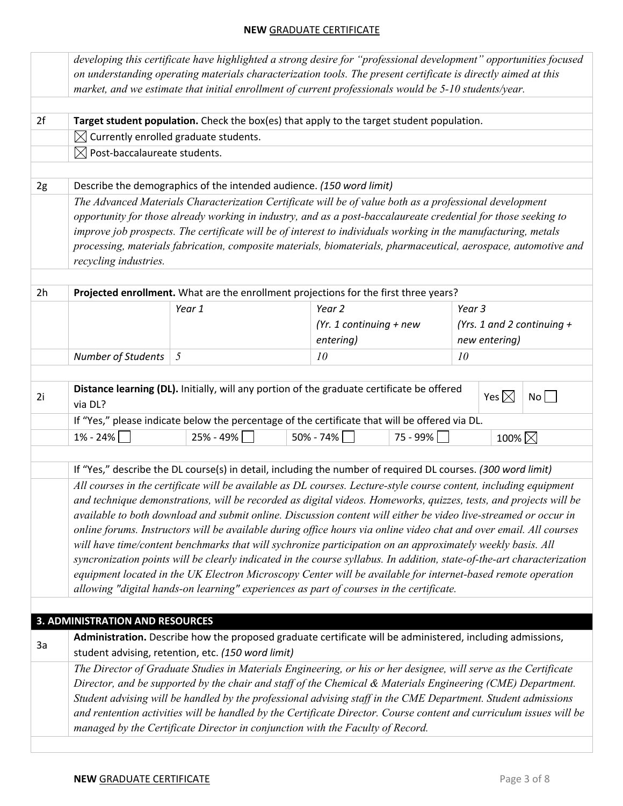|                |                                                   | developing this certificate have highlighted a strong desire for "professional development" opportunities focused                                                                                                                |                           |          |        |                  |                            |  |
|----------------|---------------------------------------------------|----------------------------------------------------------------------------------------------------------------------------------------------------------------------------------------------------------------------------------|---------------------------|----------|--------|------------------|----------------------------|--|
|                |                                                   | on understanding operating materials characterization tools. The present certificate is directly aimed at this                                                                                                                   |                           |          |        |                  |                            |  |
|                |                                                   | market, and we estimate that initial enrollment of current professionals would be 5-10 students/year.                                                                                                                            |                           |          |        |                  |                            |  |
| 2f             |                                                   | Target student population. Check the box(es) that apply to the target student population.                                                                                                                                        |                           |          |        |                  |                            |  |
|                | $\boxtimes$ Currently enrolled graduate students. |                                                                                                                                                                                                                                  |                           |          |        |                  |                            |  |
|                | $\boxtimes$ Post-baccalaureate students.          |                                                                                                                                                                                                                                  |                           |          |        |                  |                            |  |
|                |                                                   |                                                                                                                                                                                                                                  |                           |          |        |                  |                            |  |
| 2g             |                                                   | Describe the demographics of the intended audience. (150 word limit)                                                                                                                                                             |                           |          |        |                  |                            |  |
|                |                                                   | The Advanced Materials Characterization Certificate will be of value both as a professional development                                                                                                                          |                           |          |        |                  |                            |  |
|                |                                                   | opportunity for those already working in industry, and as a post-baccalaureate credential for those seeking to                                                                                                                   |                           |          |        |                  |                            |  |
|                |                                                   | improve job prospects. The certificate will be of interest to individuals working in the manufacturing, metals                                                                                                                   |                           |          |        |                  |                            |  |
|                |                                                   | processing, materials fabrication, composite materials, biomaterials, pharmaceutical, aerospace, automotive and                                                                                                                  |                           |          |        |                  |                            |  |
|                | recycling industries.                             |                                                                                                                                                                                                                                  |                           |          |        |                  |                            |  |
|                |                                                   |                                                                                                                                                                                                                                  |                           |          |        |                  |                            |  |
| 2 <sub>h</sub> |                                                   | Projected enrollment. What are the enrollment projections for the first three years?                                                                                                                                             |                           |          |        |                  |                            |  |
|                |                                                   | Year 1                                                                                                                                                                                                                           | Year 2                    |          | Year 3 |                  |                            |  |
|                |                                                   |                                                                                                                                                                                                                                  | (Yr. 1 continuing $+$ new |          |        |                  | (Yrs. 1 and 2 continuing + |  |
|                |                                                   |                                                                                                                                                                                                                                  | entering)                 |          |        | new entering)    |                            |  |
|                | Number of Students                                | 5                                                                                                                                                                                                                                | 10                        |          | 10     |                  |                            |  |
|                |                                                   |                                                                                                                                                                                                                                  |                           |          |        |                  |                            |  |
| 2i             | via DL?                                           | Distance learning (DL). Initially, will any portion of the graduate certificate be offered                                                                                                                                       |                           |          |        | Yes $\boxtimes$  | No                         |  |
|                |                                                   | If "Yes," please indicate below the percentage of the certificate that will be offered via DL.                                                                                                                                   |                           |          |        |                  |                            |  |
|                | $1\% - 24\%$                                      | 25% - 49%                                                                                                                                                                                                                        | 50% - 74%                 | 75 - 99% |        | 100% $\boxtimes$ |                            |  |
|                |                                                   |                                                                                                                                                                                                                                  |                           |          |        |                  |                            |  |
|                |                                                   | If "Yes," describe the DL course(s) in detail, including the number of required DL courses. (300 word limit)                                                                                                                     |                           |          |        |                  |                            |  |
|                |                                                   | All courses in the certificate will be available as DL courses. Lecture-style course content, including equipment                                                                                                                |                           |          |        |                  |                            |  |
|                |                                                   | and technique demonstrations, will be recorded as digital videos. Homeworks, quizzes, tests, and projects will be                                                                                                                |                           |          |        |                  |                            |  |
|                |                                                   | available to both download and submit online. Discussion content will either be video live-streamed or occur in                                                                                                                  |                           |          |        |                  |                            |  |
|                |                                                   | online forums. Instructors will be available during office hours via online video chat and over email. All courses<br>will have time/content benchmarks that will sychronize participation on an approximately weekly basis. All |                           |          |        |                  |                            |  |
|                |                                                   | syncronization points will be clearly indicated in the course syllabus. In addition, state-of-the-art characterization                                                                                                           |                           |          |        |                  |                            |  |
|                |                                                   | equipment located in the UK Electron Microscopy Center will be available for internet-based remote operation                                                                                                                     |                           |          |        |                  |                            |  |
|                |                                                   | allowing "digital hands-on learning" experiences as part of courses in the certificate.                                                                                                                                          |                           |          |        |                  |                            |  |
|                |                                                   |                                                                                                                                                                                                                                  |                           |          |        |                  |                            |  |
|                | <b>3. ADMINISTRATION AND RESOURCES</b>            |                                                                                                                                                                                                                                  |                           |          |        |                  |                            |  |
|                |                                                   |                                                                                                                                                                                                                                  |                           |          |        |                  |                            |  |
| 3a             |                                                   | Administration. Describe how the proposed graduate certificate will be administered, including admissions,<br>student advising, retention, etc. (150 word limit)                                                                 |                           |          |        |                  |                            |  |
|                |                                                   | The Director of Graduate Studies in Materials Engineering, or his or her designee, will serve as the Certificate                                                                                                                 |                           |          |        |                  |                            |  |
|                |                                                   | Director, and be supported by the chair and staff of the Chemical & Materials Engineering (CME) Department.                                                                                                                      |                           |          |        |                  |                            |  |
|                |                                                   | Student advising will be handled by the professional advising staff in the CME Department. Student admissions                                                                                                                    |                           |          |        |                  |                            |  |
|                |                                                   | and rentention activities will be handled by the Certificate Director. Course content and curriculum issues will be                                                                                                              |                           |          |        |                  |                            |  |
|                |                                                   | managed by the Certificate Director in conjunction with the Faculty of Record.                                                                                                                                                   |                           |          |        |                  |                            |  |
|                |                                                   |                                                                                                                                                                                                                                  |                           |          |        |                  |                            |  |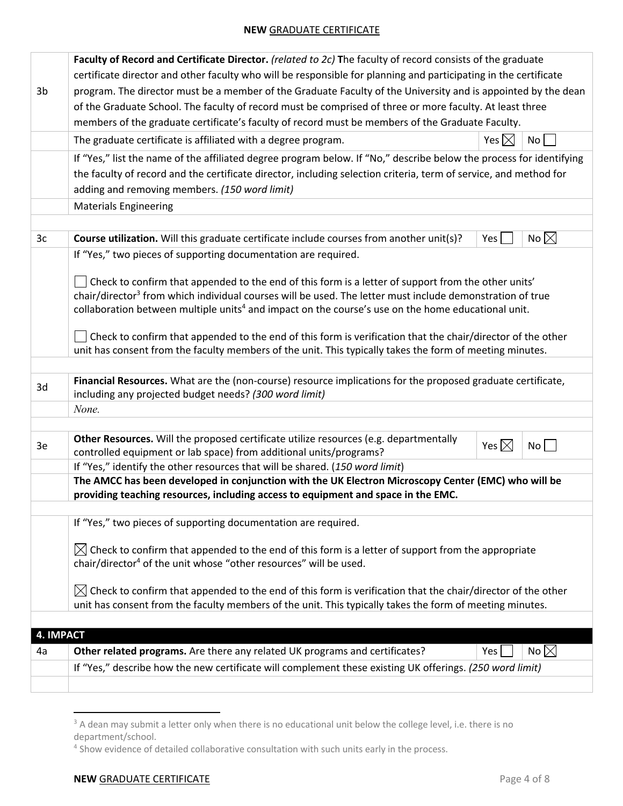|                  | Faculty of Record and Certificate Director. (related to 2c) The faculty of record consists of the graduate                                                  |                 |                                  |  |
|------------------|-------------------------------------------------------------------------------------------------------------------------------------------------------------|-----------------|----------------------------------|--|
|                  | certificate director and other faculty who will be responsible for planning and participating in the certificate                                            |                 |                                  |  |
| 3b               | program. The director must be a member of the Graduate Faculty of the University and is appointed by the dean                                               |                 |                                  |  |
|                  | of the Graduate School. The faculty of record must be comprised of three or more faculty. At least three                                                    |                 |                                  |  |
|                  | members of the graduate certificate's faculty of record must be members of the Graduate Faculty.                                                            |                 |                                  |  |
|                  | The graduate certificate is affiliated with a degree program.                                                                                               | Yes $\boxtimes$ | $\overline{N}$ o $\vert$ $\vert$ |  |
|                  | If "Yes," list the name of the affiliated degree program below. If "No," describe below the process for identifying                                         |                 |                                  |  |
|                  | the faculty of record and the certificate director, including selection criteria, term of service, and method for                                           |                 |                                  |  |
|                  | adding and removing members. (150 word limit)                                                                                                               |                 |                                  |  |
|                  | <b>Materials Engineering</b>                                                                                                                                |                 |                                  |  |
|                  |                                                                                                                                                             |                 |                                  |  |
| 3 <sub>c</sub>   | Course utilization. Will this graduate certificate include courses from another unit(s)?                                                                    | Yes             | No $\boxtimes$                   |  |
|                  | If "Yes," two pieces of supporting documentation are required.                                                                                              |                 |                                  |  |
|                  |                                                                                                                                                             |                 |                                  |  |
|                  | Check to confirm that appended to the end of this form is a letter of support from the other units'                                                         |                 |                                  |  |
|                  | chair/director <sup>3</sup> from which individual courses will be used. The letter must include demonstration of true                                       |                 |                                  |  |
|                  | collaboration between multiple units <sup>4</sup> and impact on the course's use on the home educational unit.                                              |                 |                                  |  |
|                  | Check to confirm that appended to the end of this form is verification that the chair/director of the other                                                 |                 |                                  |  |
|                  | unit has consent from the faculty members of the unit. This typically takes the form of meeting minutes.                                                    |                 |                                  |  |
|                  |                                                                                                                                                             |                 |                                  |  |
| 3d               | Financial Resources. What are the (non-course) resource implications for the proposed graduate certificate,                                                 |                 |                                  |  |
|                  | including any projected budget needs? (300 word limit)                                                                                                      |                 |                                  |  |
|                  | None.                                                                                                                                                       |                 |                                  |  |
|                  |                                                                                                                                                             |                 |                                  |  |
| 3e               | Other Resources. Will the proposed certificate utilize resources (e.g. departmentally<br>controlled equipment or lab space) from additional units/programs? | Yes $\boxtimes$ | No                               |  |
|                  | If "Yes," identify the other resources that will be shared. (150 word limit)                                                                                |                 |                                  |  |
|                  | The AMCC has been developed in conjunction with the UK Electron Microscopy Center (EMC) who will be                                                         |                 |                                  |  |
|                  | providing teaching resources, including access to equipment and space in the EMC.                                                                           |                 |                                  |  |
|                  | If "Yes," two pieces of supporting documentation are required.                                                                                              |                 |                                  |  |
|                  |                                                                                                                                                             |                 |                                  |  |
|                  | $\boxtimes$ Check to confirm that appended to the end of this form is a letter of support from the appropriate                                              |                 |                                  |  |
|                  | chair/director <sup>4</sup> of the unit whose "other resources" will be used.                                                                               |                 |                                  |  |
|                  |                                                                                                                                                             |                 |                                  |  |
|                  | $\boxtimes$ Check to confirm that appended to the end of this form is verification that the chair/director of the other                                     |                 |                                  |  |
|                  | unit has consent from the faculty members of the unit. This typically takes the form of meeting minutes.                                                    |                 |                                  |  |
| <b>4. IMPACT</b> |                                                                                                                                                             |                 |                                  |  |
| 4a               | Other related programs. Are there any related UK programs and certificates?                                                                                 | Yes             | No $\boxtimes$                   |  |
|                  | If "Yes," describe how the new certificate will complement these existing UK offerings. (250 word limit)                                                    |                 |                                  |  |
|                  |                                                                                                                                                             |                 |                                  |  |
|                  |                                                                                                                                                             |                 |                                  |  |

<sup>&</sup>lt;sup>3</sup> A dean may submit a letter only when there is no educational unit below the college level, i.e. there is no department/school.

<sup>4</sup> Show evidence of detailed collaborative consultation with such units early in the process.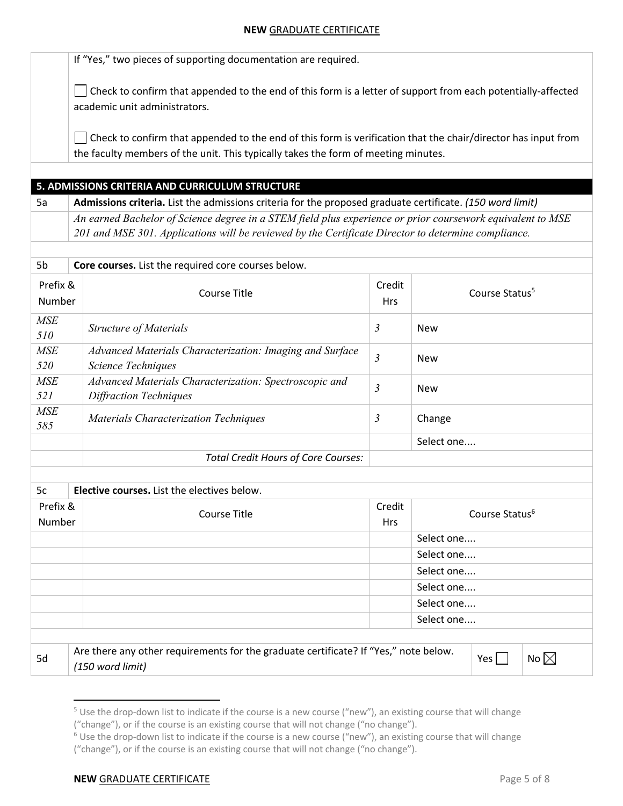If "Yes," two pieces of supporting documentation are required.

 $\Box$  Check to confirm that appended to the end of this form is a letter of support from each potentially-affected academic unit administrators.

Check to confirm that appended to the end of this form is verification that the chair/director has input from  $\mathbf{I}$ the faculty members of the unit. This typically takes the form of meeting minutes.

### **5. ADMISSIONS CRITERIA AND CURRICULUM STRUCTURE**

5a **Admissions criteria.** List the admissions criteria for the proposed graduate certificate. *(150 word limit) An earned Bachelor of Science degree in a STEM field plus experience or prior coursework equivalent to MSE 201 and MSE 301. Applications will be reviewed by the Certificate Director to determine compliance.*

| 5b                 | Core courses. List the required core courses below.                                     |                      |                            |
|--------------------|-----------------------------------------------------------------------------------------|----------------------|----------------------------|
| Prefix &<br>Number | Course Title                                                                            | Credit<br><b>Hrs</b> | Course Status <sup>5</sup> |
| <b>MSE</b><br>510  | <b>Structure of Materials</b>                                                           | $\mathfrak{Z}$       | <b>New</b>                 |
| <b>MSE</b><br>520  | Advanced Materials Characterization: Imaging and Surface<br>Science Techniques          | $\mathfrak{Z}$       | <b>New</b>                 |
| <b>MSE</b><br>521  | Advanced Materials Characterization: Spectroscopic and<br><b>Diffraction Techniques</b> | $\mathfrak{Z}$       | <b>New</b>                 |
| <b>MSE</b><br>585  | <b>Materials Characterization Techniques</b>                                            | $\mathfrak{Z}$       | Change                     |
|                    |                                                                                         |                      | Select one                 |
|                    | <b>Total Credit Hours of Core Courses:</b>                                              |                      |                            |

| 5c<br>Elective courses. List the electives below. |                                                                                                          |                      |                            |  |  |
|---------------------------------------------------|----------------------------------------------------------------------------------------------------------|----------------------|----------------------------|--|--|
| Prefix &<br>Number                                | Course Title                                                                                             | Credit<br><b>Hrs</b> | Course Status <sup>6</sup> |  |  |
|                                                   |                                                                                                          |                      | Select one                 |  |  |
|                                                   |                                                                                                          |                      | Select one                 |  |  |
|                                                   |                                                                                                          |                      | Select one                 |  |  |
|                                                   |                                                                                                          |                      | Select one                 |  |  |
|                                                   |                                                                                                          |                      | Select one                 |  |  |
|                                                   |                                                                                                          |                      | Select one                 |  |  |
|                                                   |                                                                                                          |                      |                            |  |  |
| 5d                                                | Are there any other requirements for the graduate certificate? If "Yes," note below.<br>(150 word limit) |                      | No $\boxtimes$<br>Yes      |  |  |

<sup>&</sup>lt;sup>5</sup> Use the drop-down list to indicate if the course is a new course ("new"), an existing course that will change ("change"), or if the course is an existing course that will not change ("no change").

<sup>&</sup>lt;sup>6</sup> Use the drop-down list to indicate if the course is a new course ("new"), an existing course that will change ("change"), or if the course is an existing course that will not change ("no change").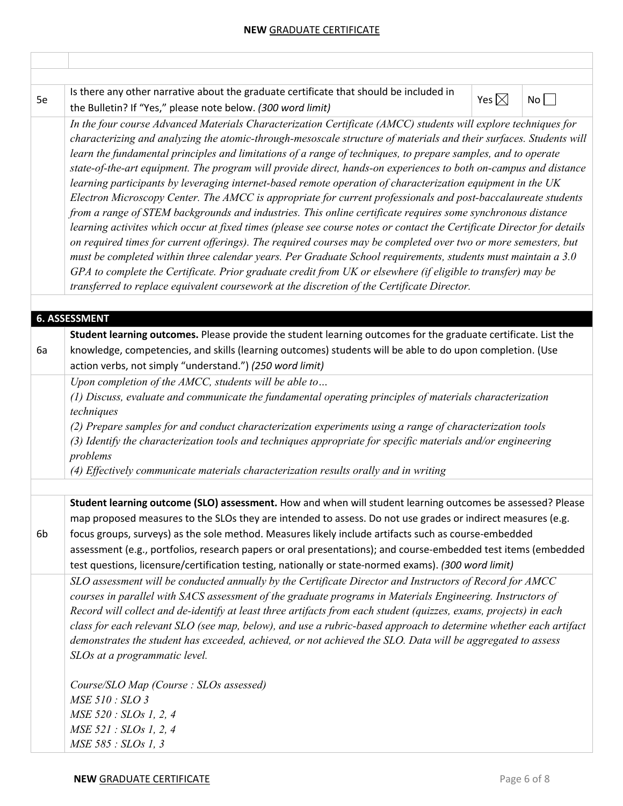| 5e | Is there any other narrative about the graduate certificate that should be included in<br>the Bulletin? If "Yes," please note below. (300 word limit)                                                                                                                                                                                                                                                                                                                                                                                                                                                                                                                                                                                                                                                                                                                                                                                                                                                                                                                                                                                                                                                                                                                                                                                                                                                 | Yes $\boxtimes$ | No |
|----|-------------------------------------------------------------------------------------------------------------------------------------------------------------------------------------------------------------------------------------------------------------------------------------------------------------------------------------------------------------------------------------------------------------------------------------------------------------------------------------------------------------------------------------------------------------------------------------------------------------------------------------------------------------------------------------------------------------------------------------------------------------------------------------------------------------------------------------------------------------------------------------------------------------------------------------------------------------------------------------------------------------------------------------------------------------------------------------------------------------------------------------------------------------------------------------------------------------------------------------------------------------------------------------------------------------------------------------------------------------------------------------------------------|-----------------|----|
|    | In the four course Advanced Materials Characterization Certificate (AMCC) students will explore techniques for<br>characterizing and analyzing the atomic-through-mesoscale structure of materials and their surfaces. Students will<br>learn the fundamental principles and limitations of a range of techniques, to prepare samples, and to operate<br>state-of-the-art equipment. The program will provide direct, hands-on experiences to both on-campus and distance<br>learning participants by leveraging internet-based remote operation of characterization equipment in the UK<br>Electron Microscopy Center. The AMCC is appropriate for current professionals and post-baccalaureate students<br>from a range of STEM backgrounds and industries. This online certificate requires some synchronous distance<br>learning activites which occur at fixed times (please see course notes or contact the Certificate Director for details<br>on required times for current offerings). The required courses may be completed over two or more semesters, but<br>must be completed within three calendar years. Per Graduate School requirements, students must maintain a 3.0<br>GPA to complete the Certificate. Prior graduate credit from UK or elsewhere (if eligible to transfer) may be<br>transferred to replace equivalent coursework at the discretion of the Certificate Director. |                 |    |
|    |                                                                                                                                                                                                                                                                                                                                                                                                                                                                                                                                                                                                                                                                                                                                                                                                                                                                                                                                                                                                                                                                                                                                                                                                                                                                                                                                                                                                       |                 |    |
|    | <b>6. ASSESSMENT</b>                                                                                                                                                                                                                                                                                                                                                                                                                                                                                                                                                                                                                                                                                                                                                                                                                                                                                                                                                                                                                                                                                                                                                                                                                                                                                                                                                                                  |                 |    |
| 6a | Student learning outcomes. Please provide the student learning outcomes for the graduate certificate. List the<br>knowledge, competencies, and skills (learning outcomes) students will be able to do upon completion. (Use<br>action verbs, not simply "understand.") (250 word limit)                                                                                                                                                                                                                                                                                                                                                                                                                                                                                                                                                                                                                                                                                                                                                                                                                                                                                                                                                                                                                                                                                                               |                 |    |
|    | Upon completion of the AMCC, students will be able to<br>(1) Discuss, evaluate and communicate the fundamental operating principles of materials characterization<br>techniques<br>(2) Prepare samples for and conduct characterization experiments using a range of characterization tools<br>(3) Identify the characterization tools and techniques appropriate for specific materials and/or engineering<br>problems<br>(4) Effectively communicate materials characterization results orally and in writing                                                                                                                                                                                                                                                                                                                                                                                                                                                                                                                                                                                                                                                                                                                                                                                                                                                                                       |                 |    |
|    |                                                                                                                                                                                                                                                                                                                                                                                                                                                                                                                                                                                                                                                                                                                                                                                                                                                                                                                                                                                                                                                                                                                                                                                                                                                                                                                                                                                                       |                 |    |
| 6b | Student learning outcome (SLO) assessment. How and when will student learning outcomes be assessed? Please<br>map proposed measures to the SLOs they are intended to assess. Do not use grades or indirect measures (e.g.<br>focus groups, surveys) as the sole method. Measures likely include artifacts such as course-embedded<br>assessment (e.g., portfolios, research papers or oral presentations); and course-embedded test items (embedded<br>test questions, licensure/certification testing, nationally or state-normed exams). (300 word limit)                                                                                                                                                                                                                                                                                                                                                                                                                                                                                                                                                                                                                                                                                                                                                                                                                                           |                 |    |
|    | SLO assessment will be conducted annually by the Certificate Director and Instructors of Record for AMCC<br>courses in parallel with SACS assessment of the graduate programs in Materials Engineering. Instructors of<br>Record will collect and de-identify at least three artifacts from each student (quizzes, exams, projects) in each<br>class for each relevant SLO (see map, below), and use a rubric-based approach to determine whether each artifact<br>demonstrates the student has exceeded, achieved, or not achieved the SLO. Data will be aggregated to assess<br>SLOs at a programmatic level.                                                                                                                                                                                                                                                                                                                                                                                                                                                                                                                                                                                                                                                                                                                                                                                       |                 |    |
|    | Course/SLO Map (Course: SLOs assessed)<br>MSE 510 : SLO 3<br>MSE 520 : SLOs 1, 2, 4<br>MSE 521 : SLOs 1, 2, 4<br>MSE 585 : SLOs 1, 3                                                                                                                                                                                                                                                                                                                                                                                                                                                                                                                                                                                                                                                                                                                                                                                                                                                                                                                                                                                                                                                                                                                                                                                                                                                                  |                 |    |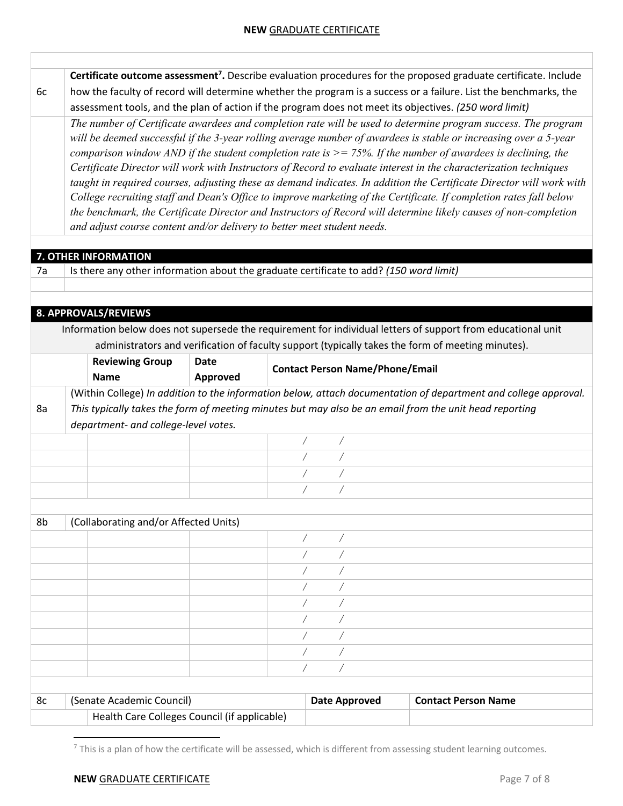|    |                                                                                                                                                                                                                                        |          |  |                                        | Certificate outcome assessment <sup>7</sup> . Describe evaluation procedures for the proposed graduate certificate. Include |  |  |
|----|----------------------------------------------------------------------------------------------------------------------------------------------------------------------------------------------------------------------------------------|----------|--|----------------------------------------|-----------------------------------------------------------------------------------------------------------------------------|--|--|
| 6c |                                                                                                                                                                                                                                        |          |  |                                        | how the faculty of record will determine whether the program is a success or a failure. List the benchmarks, the            |  |  |
|    |                                                                                                                                                                                                                                        |          |  |                                        | assessment tools, and the plan of action if the program does not meet its objectives. (250 word limit)                      |  |  |
|    |                                                                                                                                                                                                                                        |          |  |                                        | The number of Certificate awardees and completion rate will be used to determine program success. The program               |  |  |
|    |                                                                                                                                                                                                                                        |          |  |                                        | will be deemed successful if the 3-year rolling average number of awardees is stable or increasing over a 5-year            |  |  |
|    |                                                                                                                                                                                                                                        |          |  |                                        | comparison window AND if the student completion rate is $\ge$ = 75%. If the number of awardees is declining, the            |  |  |
|    |                                                                                                                                                                                                                                        |          |  |                                        |                                                                                                                             |  |  |
|    | Certificate Director will work with Instructors of Record to evaluate interest in the characterization techniques                                                                                                                      |          |  |                                        |                                                                                                                             |  |  |
|    | taught in required courses, adjusting these as demand indicates. In addition the Certificate Director will work with                                                                                                                   |          |  |                                        |                                                                                                                             |  |  |
|    | College recruiting staff and Dean's Office to improve marketing of the Certificate. If completion rates fall below<br>the benchmark, the Certificate Director and Instructors of Record will determine likely causes of non-completion |          |  |                                        |                                                                                                                             |  |  |
|    | and adjust course content and/or delivery to better meet student needs.                                                                                                                                                                |          |  |                                        |                                                                                                                             |  |  |
|    |                                                                                                                                                                                                                                        |          |  |                                        |                                                                                                                             |  |  |
|    | 7. OTHER INFORMATION                                                                                                                                                                                                                   |          |  |                                        |                                                                                                                             |  |  |
| 7a | Is there any other information about the graduate certificate to add? (150 word limit)                                                                                                                                                 |          |  |                                        |                                                                                                                             |  |  |
|    |                                                                                                                                                                                                                                        |          |  |                                        |                                                                                                                             |  |  |
|    |                                                                                                                                                                                                                                        |          |  |                                        |                                                                                                                             |  |  |
|    | 8. APPROVALS/REVIEWS                                                                                                                                                                                                                   |          |  |                                        |                                                                                                                             |  |  |
|    |                                                                                                                                                                                                                                        |          |  |                                        | Information below does not supersede the requirement for individual letters of support from educational unit                |  |  |
|    |                                                                                                                                                                                                                                        |          |  |                                        | administrators and verification of faculty support (typically takes the form of meeting minutes).                           |  |  |
|    | <b>Reviewing Group</b>                                                                                                                                                                                                                 | Date     |  |                                        |                                                                                                                             |  |  |
|    | <b>Name</b>                                                                                                                                                                                                                            | Approved |  | <b>Contact Person Name/Phone/Email</b> |                                                                                                                             |  |  |
|    |                                                                                                                                                                                                                                        |          |  |                                        |                                                                                                                             |  |  |
|    |                                                                                                                                                                                                                                        |          |  |                                        | (Within College) In addition to the information below, attach documentation of department and college approval.             |  |  |
| 8a |                                                                                                                                                                                                                                        |          |  |                                        | This typically takes the form of meeting minutes but may also be an email from the unit head reporting                      |  |  |
|    | department- and college-level votes.                                                                                                                                                                                                   |          |  |                                        |                                                                                                                             |  |  |
|    |                                                                                                                                                                                                                                        |          |  | Ϊ<br>$\sqrt{2}$                        |                                                                                                                             |  |  |
|    |                                                                                                                                                                                                                                        |          |  |                                        |                                                                                                                             |  |  |
|    |                                                                                                                                                                                                                                        |          |  |                                        |                                                                                                                             |  |  |
|    |                                                                                                                                                                                                                                        |          |  |                                        |                                                                                                                             |  |  |
|    |                                                                                                                                                                                                                                        |          |  |                                        |                                                                                                                             |  |  |
| 8b | (Collaborating and/or Affected Units)                                                                                                                                                                                                  |          |  |                                        |                                                                                                                             |  |  |
|    |                                                                                                                                                                                                                                        |          |  |                                        |                                                                                                                             |  |  |
|    |                                                                                                                                                                                                                                        |          |  |                                        |                                                                                                                             |  |  |
|    |                                                                                                                                                                                                                                        |          |  |                                        |                                                                                                                             |  |  |
|    |                                                                                                                                                                                                                                        |          |  |                                        |                                                                                                                             |  |  |
|    |                                                                                                                                                                                                                                        |          |  |                                        |                                                                                                                             |  |  |
|    |                                                                                                                                                                                                                                        |          |  |                                        |                                                                                                                             |  |  |
|    |                                                                                                                                                                                                                                        |          |  |                                        |                                                                                                                             |  |  |
|    |                                                                                                                                                                                                                                        |          |  |                                        |                                                                                                                             |  |  |
|    |                                                                                                                                                                                                                                        |          |  |                                        |                                                                                                                             |  |  |
|    |                                                                                                                                                                                                                                        |          |  | Τ<br>$\sqrt{2}$                        |                                                                                                                             |  |  |
|    |                                                                                                                                                                                                                                        |          |  |                                        |                                                                                                                             |  |  |
| 8c | (Senate Academic Council)                                                                                                                                                                                                              |          |  | <b>Date Approved</b>                   |                                                                                                                             |  |  |
|    |                                                                                                                                                                                                                                        |          |  |                                        | <b>Contact Person Name</b>                                                                                                  |  |  |

 $^7$  This is a plan of how the certificate will be assessed, which is different from assessing student learning outcomes.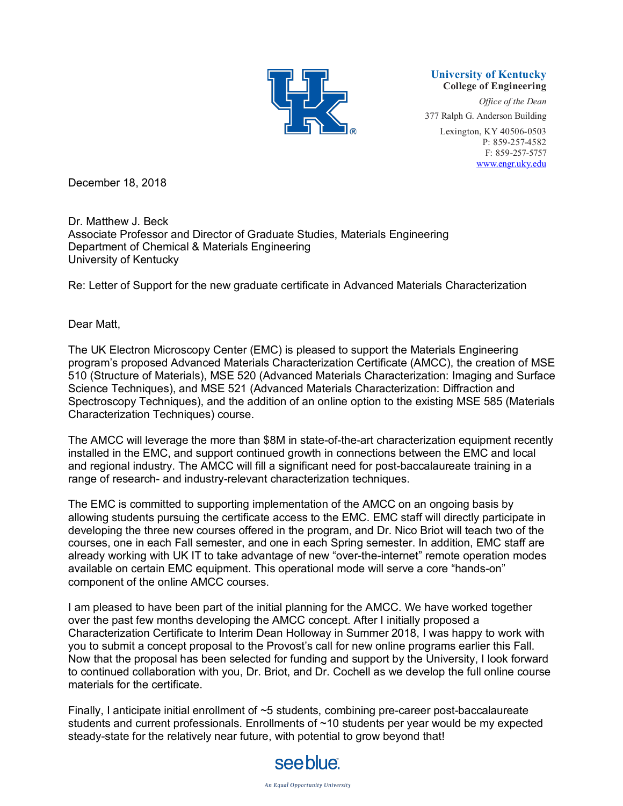

#### **University of Kentucky College of Engineering**

*Office of the Dean* 377 Ralph G. Anderson Building Lexington, KY 40506-0503 P: 859-257-4582 F: 859-257-5757 www.engr.uky.edu

December 18, 2018

Dr. Matthew J. Beck Associate Professor and Director of Graduate Studies, Materials Engineering Department of Chemical & Materials Engineering University of Kentucky

Re: Letter of Support for the new graduate certificate in Advanced Materials Characterization

# Dear Matt,

The UK Electron Microscopy Center (EMC) is pleased to support the Materials Engineering program's proposed Advanced Materials Characterization Certificate (AMCC), the creation of MSE 510 (Structure of Materials), MSE 520 (Advanced Materials Characterization: Imaging and Surface Science Techniques), and MSE 521 (Advanced Materials Characterization: Diffraction and Spectroscopy Techniques), and the addition of an online option to the existing MSE 585 (Materials Characterization Techniques) course.

The AMCC will leverage the more than \$8M in state-of-the-art characterization equipment recently installed in the EMC, and support continued growth in connections between the EMC and local and regional industry. The AMCC will fill a significant need for post-baccalaureate training in a range of research- and industry-relevant characterization techniques.

The EMC is committed to supporting implementation of the AMCC on an ongoing basis by allowing students pursuing the certificate access to the EMC. EMC staff will directly participate in developing the three new courses offered in the program, and Dr. Nico Briot will teach two of the courses, one in each Fall semester, and one in each Spring semester. In addition, EMC staff are already working with UK IT to take advantage of new "over-the-internet" remote operation modes available on certain EMC equipment. This operational mode will serve a core "hands-on" component of the online AMCC courses.

I am pleased to have been part of the initial planning for the AMCC. We have worked together over the past few months developing the AMCC concept. After I initially proposed a Characterization Certificate to Interim Dean Holloway in Summer 2018, I was happy to work with you to submit a concept proposal to the Provost's call for new online programs earlier this Fall. Now that the proposal has been selected for funding and support by the University, I look forward to continued collaboration with you, Dr. Briot, and Dr. Cochell as we develop the full online course materials for the certificate.

Finally, I anticipate initial enrollment of ~5 students, combining pre-career post-baccalaureate students and current professionals. Enrollments of ~10 students per year would be my expected steady-state for the relatively near future, with potential to grow beyond that!

# see blue.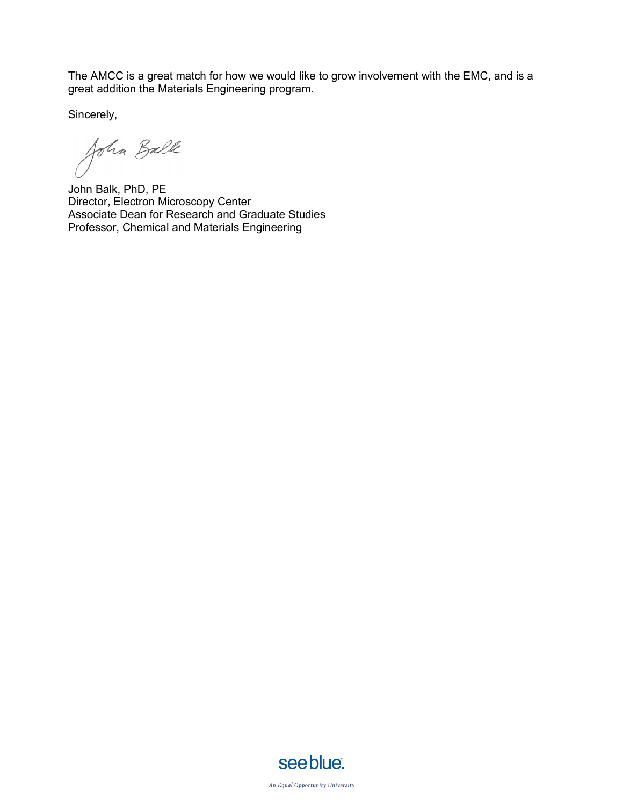The AMCC is a great match for how we would like to grow involvement with the EMC, and is a great addition the Materials Engineering program.

Sincerely,

John Balk

John Balk, PhD, PE Director, Electron Microscopy Center Associate Dean for Research and Graduate Studies Professor, Chemical and Materials Engineering



An Equal Opportunity University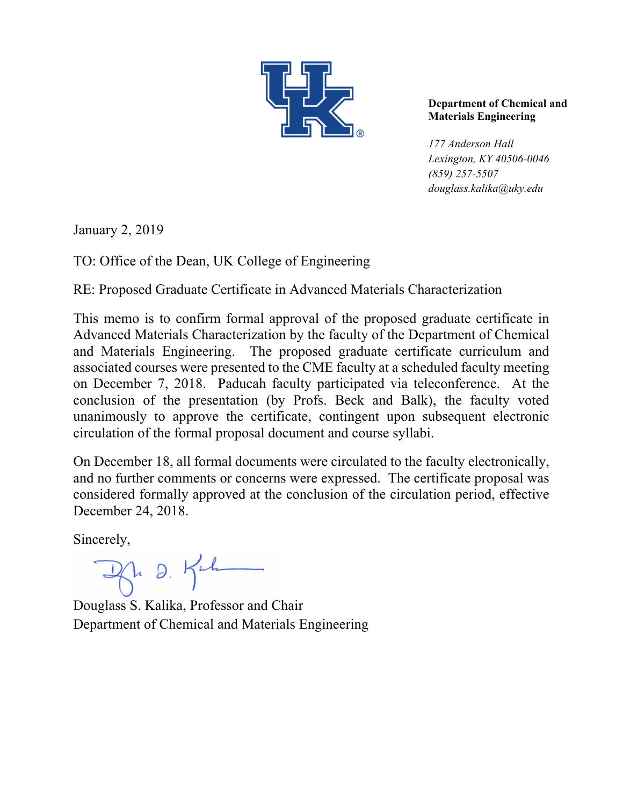

## **Department of Chemical and Materials Engineering**

*177 Anderson Hall Lexington, KY 40506-0046 (859) 257-5507 douglass.kalika@uky.edu* 

January 2, 2019

TO: Office of the Dean, UK College of Engineering

RE: Proposed Graduate Certificate in Advanced Materials Characterization

This memo is to confirm formal approval of the proposed graduate certificate in Advanced Materials Characterization by the faculty of the Department of Chemical and Materials Engineering. The proposed graduate certificate curriculum and associated courses were presented to the CME faculty at a scheduled faculty meeting on December 7, 2018. Paducah faculty participated via teleconference. At the conclusion of the presentation (by Profs. Beck and Balk), the faculty voted unanimously to approve the certificate, contingent upon subsequent electronic circulation of the formal proposal document and course syllabi.

On December 18, all formal documents were circulated to the faculty electronically, and no further comments or concerns were expressed. The certificate proposal was considered formally approved at the conclusion of the circulation period, effective December 24, 2018.

Sincerely,

Br D. Kuh

Douglass S. Kalika, Professor and Chair Department of Chemical and Materials Engineering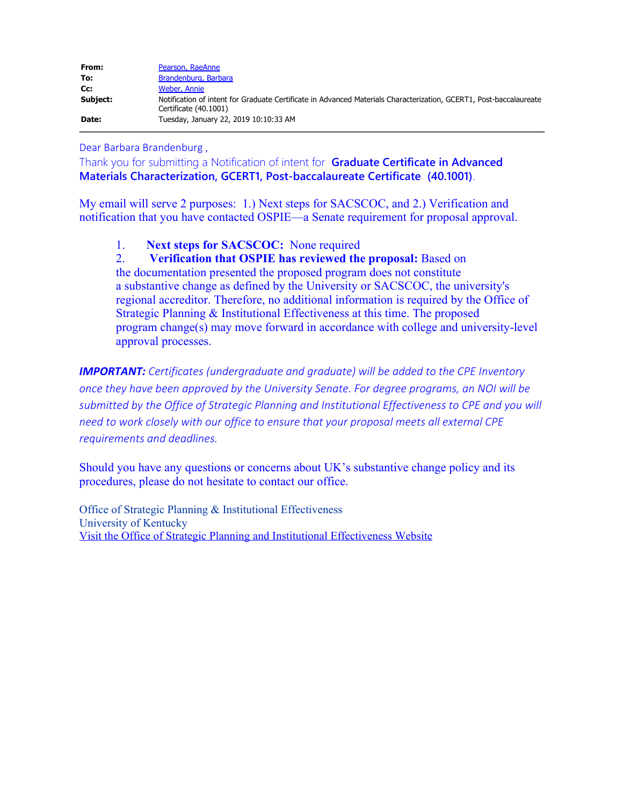| From:    | Pearson, RaeAnne                                                                                                                            |
|----------|---------------------------------------------------------------------------------------------------------------------------------------------|
| To:      | Brandenburg, Barbara                                                                                                                        |
| Cc:      | Weber, Annie                                                                                                                                |
| Subject: | Notification of intent for Graduate Certificate in Advanced Materials Characterization, GCERT1, Post-baccalaureate<br>Certificate (40.1001) |
| Date:    | Tuesday, January 22, 2019 10:10:33 AM                                                                                                       |

Dear Barbara Brandenburg ,

Thank you for submitting a Notification of intent for **Graduate Certificate in Advanced Materials Characterization, GCERT1, Post-baccalaureate Certificate (40.1001)**.

My email will serve 2 purposes: 1.) Next steps for SACSCOC, and 2.) Verification and notification that you have contacted OSPIE—a Senate requirement for proposal approval.

1. **Next steps for SACSCOC:** None required

2. **Verification that OSPIE has reviewed the proposal:** Based on the documentation presented the proposed program does not constitute a substantive change as defined by the University or SACSCOC, the university's regional accreditor. Therefore, no additional information is required by the Office of Strategic Planning & Institutional Effectiveness at this time. The proposed program change(s) may move forward in accordance with college and university-level approval processes.

*IMPORTANT: Certificates (undergraduate and graduate) will be added to the CPE Inventory once they have been approved by the University Senate. For degree programs, an NOI will be submitted by the Office of Strategic Planning and Institutional Effectiveness to CPE and you will need to work closely with our office to ensure that your proposal meets all external CPE requirements and deadlines.*

Should you have any questions or concerns about UK's substantive change policy and its procedures, please do not hesitate to contact our office.

Office of Strategic Planning & Institutional Effectiveness University of Kentucky [Visit the Office of Strategic Planning and Institutional Effectiveness Website](https://na01.safelinks.protection.outlook.com/?url=https%3A%2F%2Fproxy.qualtrics.com%2Fproxy%2F%3Furl%3Dhttp%253A%252F%252Fwww.uky.edu%252FIE%26token%3D8YTPYDxhO%252FvnoQ3FXkSXWLetX0TTIOyUQOwgwrjlGBY%253D&data=02%7C01%7Cbarbara.brandenburg%40uky.edu%7C4c7173d14a0f4bd1ae7708d6807bc0df%7C2b30530b69b64457b818481cb53d42ae%7C0%7C0%7C636837666331461048&sdata=APPzrvG3%2FjeirXzvGsvkE14gpCNELheHB9jvsRuICQo%3D&reserved=0)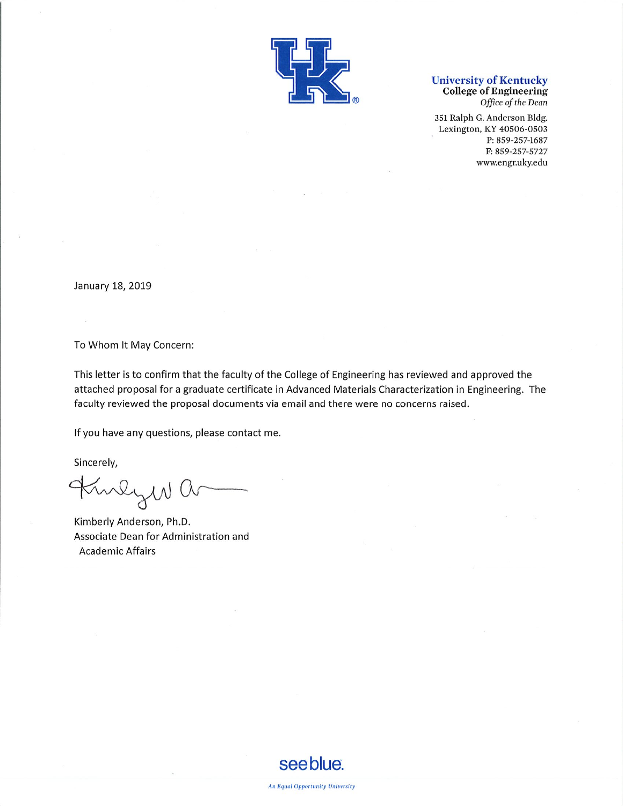

# **University of Kentucky<br>College of Engineering**

Office of the Dean

351 Ralph G. Anderson Bldg. Lexington, KY 40506-0503 P: 859-257-1687 F: 859-257-5727 www.engr.uky.edu

January 18, 2019

To Whom It May Concern:

This letter is to confirm that the faculty of the College of Engineering has reviewed and approved the attached proposal for a graduate certificate in Advanced Materials Characterization in Engineering. The faculty reviewed the proposal documents via email and there were no concerns raised.

If you have any questions, please contact me.

Sincerely,

Kinly W a

Kimberly Anderson, Ph.D. Associate Dean for Administration and **Academic Affairs**